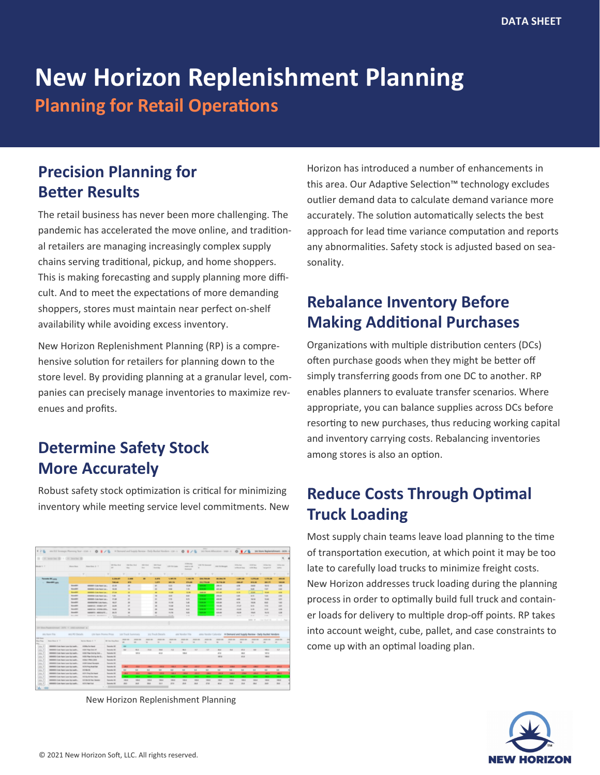# **New Horizon Replenishment Planning Planning for Retail Operations**

## **Precision Planning for Better Results**

The retail business has never been more challenging. The pandemic has accelerated the move online, and traditional retailers are managing increasingly complex supply chains serving traditional, pickup, and home shoppers. This is making forecasting and supply planning more difficult. And to meet the expectations of more demanding shoppers, stores must maintain near perfect on-shelf availability while avoiding excess inventory.

New Horizon Replenishment Planning (RP) is a comprehensive solution for retailers for planning down to the store level. By providing planning at a granular level, companies can precisely manage inventories to maximize revenues and profits.

# **Determine Safety Stock More Accurately**

Robust safety stock optimization is critical for minimizing inventory while meeting service level commitments. New



New Horizon Replenishment Planning

Horizon has introduced a number of enhancements in this area. Our Adaptive Selection™ technology excludes outlier demand data to calculate demand variance more accurately. The solution automatically selects the best approach for lead time variance computation and reports any abnormalities. Safety stock is adjusted based on seasonality.

### **Rebalance Inventory Before Making Additional Purchases**

Organizations with multiple distribution centers (DCs) often purchase goods when they might be better off simply transferring goods from one DC to another. RP enables planners to evaluate transfer scenarios. Where appropriate, you can balance supplies across DCs before resorting to new purchases, thus reducing working capital and inventory carrying costs. Rebalancing inventories among stores is also an option.

### **Reduce Costs Through Optimal Truck Loading**

Most supply chain teams leave load planning to the time of transportation execution, at which point it may be too late to carefully load trucks to minimize freight costs. New Horizon addresses truck loading during the planning process in order to optimally build full truck and container loads for delivery to multiple drop-off points. RP takes into account weight, cube, pallet, and case constraints to come up with an optimal loading plan.